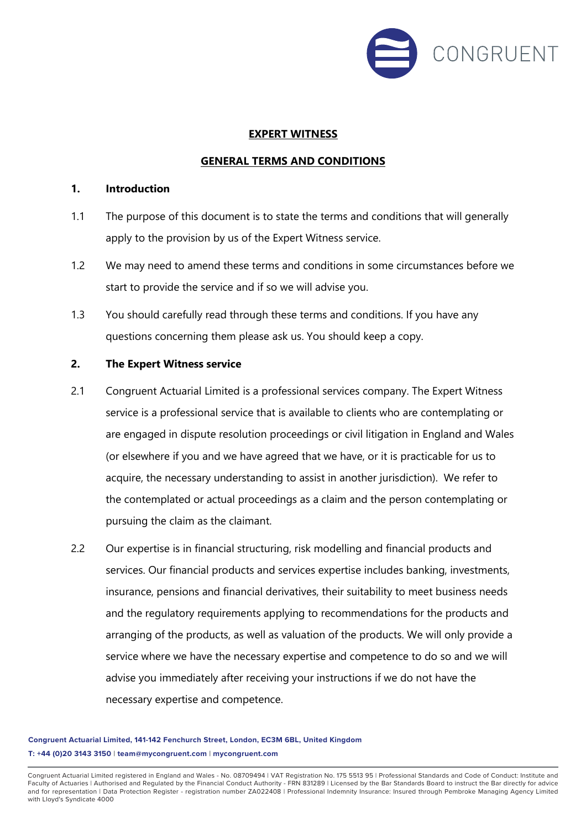

### **EXPERT WITNESS**

### **GENERAL TERMS AND CONDITIONS**

### **1. Introduction**

- 1.1 The purpose of this document is to state the terms and conditions that will generally apply to the provision by us of the Expert Witness service.
- 1.2 We may need to amend these terms and conditions in some circumstances before we start to provide the service and if so we will advise you.
- 1.3 You should carefully read through these terms and conditions. If you have any questions concerning them please ask us. You should keep a copy.

### **2. The Expert Witness service**

- 2.1 Congruent Actuarial Limited is a professional services company. The Expert Witness service is a professional service that is available to clients who are contemplating or are engaged in dispute resolution proceedings or civil litigation in England and Wales (or elsewhere if you and we have agreed that we have, or it is practicable for us to acquire, the necessary understanding to assist in another jurisdiction). We refer to the contemplated or actual proceedings as a claim and the person contemplating or pursuing the claim as the claimant.
- 2.2 Our expertise is in financial structuring, risk modelling and financial products and services. Our financial products and services expertise includes banking, investments, insurance, pensions and financial derivatives, their suitability to meet business needs and the regulatory requirements applying to recommendations for the products and arranging of the products, as well as valuation of the products. We will only provide a service where we have the necessary expertise and competence to do so and we will advise you immediately after receiving your instructions if we do not have the necessary expertise and competence.

**Congruent Actuarial Limited, 141-142 Fenchurch Street, London, EC3M 6BL, United Kingdom T: +44 (0)20 3143 3150 | team@mycongruent.com | mycongruent.com**

Congruent Actuarial Limited registered in England and Wales - No. 08709494 | VAT Registration No. 175 5513 95 | Professional Standards and Code of Conduct: Institute and Faculty of Actuaries | Authorised and Regulated by the Financial Conduct Authority - FRN 831289 | Licensed by the Bar Standards Board to instruct the Bar directly for advice<br>and for representation | Data Protection Registe with Lloyd's Syndicate 4000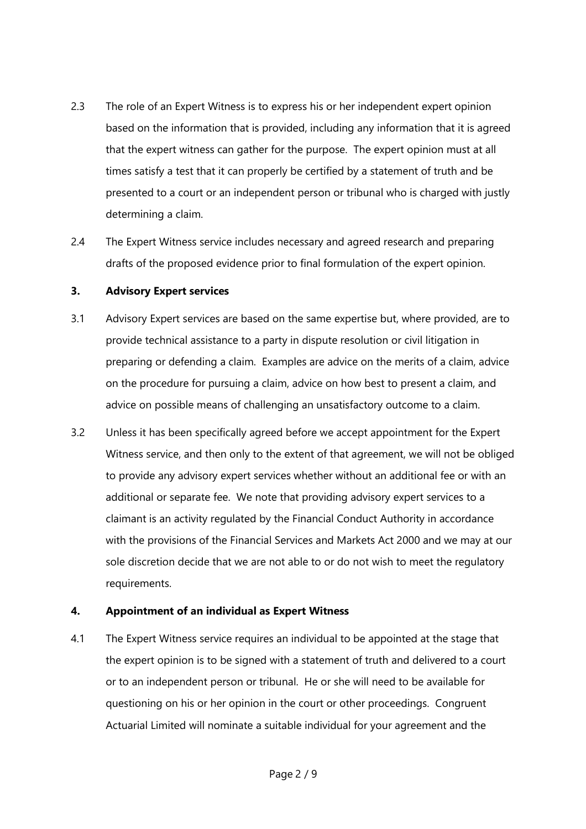- 2.3 The role of an Expert Witness is to express his or her independent expert opinion based on the information that is provided, including any information that it is agreed that the expert witness can gather for the purpose. The expert opinion must at all times satisfy a test that it can properly be certified by a statement of truth and be presented to a court or an independent person or tribunal who is charged with justly determining a claim.
- 2.4 The Expert Witness service includes necessary and agreed research and preparing drafts of the proposed evidence prior to final formulation of the expert opinion.

## **3. Advisory Expert services**

- 3.1 Advisory Expert services are based on the same expertise but, where provided, are to provide technical assistance to a party in dispute resolution or civil litigation in preparing or defending a claim. Examples are advice on the merits of a claim, advice on the procedure for pursuing a claim, advice on how best to present a claim, and advice on possible means of challenging an unsatisfactory outcome to a claim.
- 3.2 Unless it has been specifically agreed before we accept appointment for the Expert Witness service, and then only to the extent of that agreement, we will not be obliged to provide any advisory expert services whether without an additional fee or with an additional or separate fee. We note that providing advisory expert services to a claimant is an activity regulated by the Financial Conduct Authority in accordance with the provisions of the Financial Services and Markets Act 2000 and we may at our sole discretion decide that we are not able to or do not wish to meet the regulatory requirements.

# **4. Appointment of an individual as Expert Witness**

4.1 The Expert Witness service requires an individual to be appointed at the stage that the expert opinion is to be signed with a statement of truth and delivered to a court or to an independent person or tribunal. He or she will need to be available for questioning on his or her opinion in the court or other proceedings. Congruent Actuarial Limited will nominate a suitable individual for your agreement and the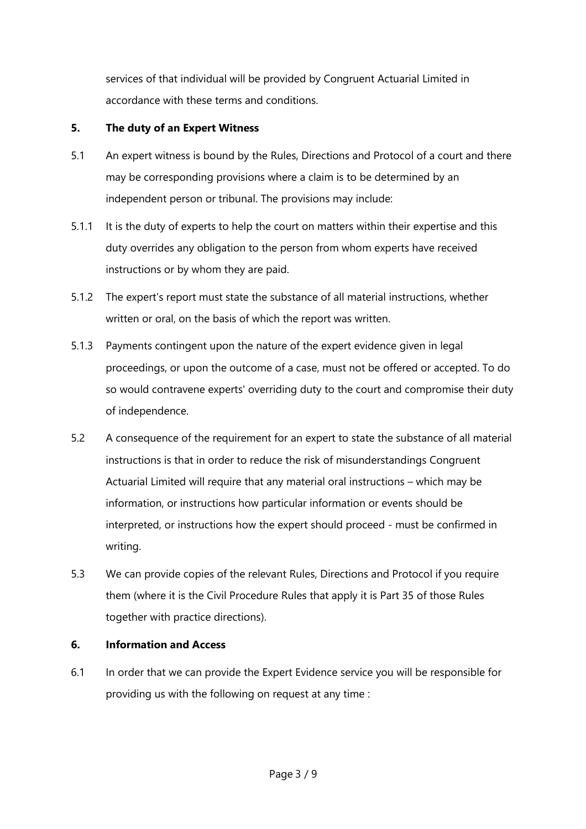services of that individual will be provided by Congruent Actuarial Limited in accordance with these terms and conditions.

# **5. The duty of an Expert Witness**

- 5.1 An expert witness is bound by the Rules, Directions and Protocol of a court and there may be corresponding provisions where a claim is to be determined by an independent person or tribunal. The provisions may include:
- 5.1.1 It is the duty of experts to help the court on matters within their expertise and this duty overrides any obligation to the person from whom experts have received instructions or by whom they are paid.
- 5.1.2 The expert's report must state the substance of all material instructions, whether written or oral, on the basis of which the report was written.
- 5.1.3 Payments contingent upon the nature of the expert evidence given in legal proceedings, or upon the outcome of a case, must not be offered or accepted. To do so would contravene experts' overriding duty to the court and compromise their duty of independence.
- 5.2 A consequence of the requirement for an expert to state the substance of all material instructions is that in order to reduce the risk of misunderstandings Congruent Actuarial Limited will require that any material oral instructions – which may be information, or instructions how particular information or events should be interpreted, or instructions how the expert should proceed - must be confirmed in writing.
- 5.3 We can provide copies of the relevant Rules, Directions and Protocol if you require them (where it is the Civil Procedure Rules that apply it is Part 35 of those Rules together with practice directions).

## **6. Information and Access**

6.1 In order that we can provide the Expert Evidence service you will be responsible for providing us with the following on request at any time :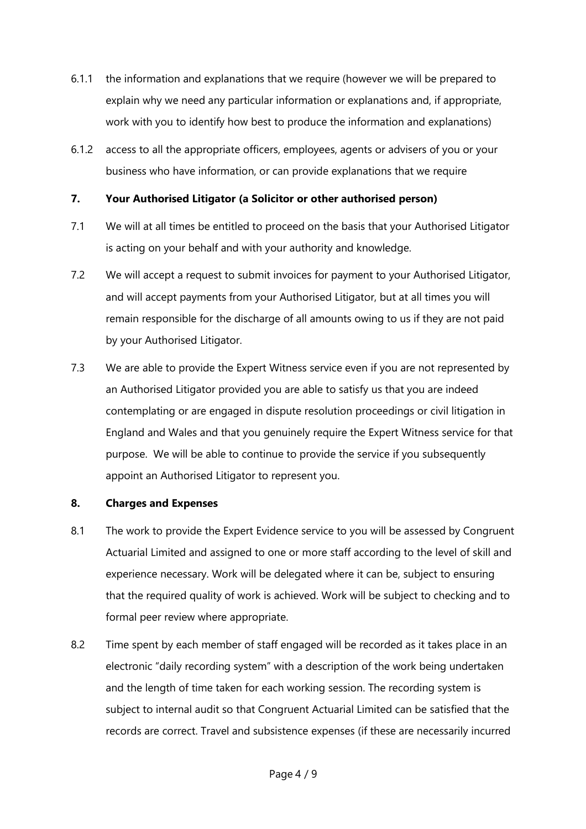- 6.1.1 the information and explanations that we require (however we will be prepared to explain why we need any particular information or explanations and, if appropriate, work with you to identify how best to produce the information and explanations)
- 6.1.2 access to all the appropriate officers, employees, agents or advisers of you or your business who have information, or can provide explanations that we require

## **7. Your Authorised Litigator (a Solicitor or other authorised person)**

- 7.1 We will at all times be entitled to proceed on the basis that your Authorised Litigator is acting on your behalf and with your authority and knowledge.
- 7.2 We will accept a request to submit invoices for payment to your Authorised Litigator, and will accept payments from your Authorised Litigator, but at all times you will remain responsible for the discharge of all amounts owing to us if they are not paid by your Authorised Litigator.
- 7.3 We are able to provide the Expert Witness service even if you are not represented by an Authorised Litigator provided you are able to satisfy us that you are indeed contemplating or are engaged in dispute resolution proceedings or civil litigation in England and Wales and that you genuinely require the Expert Witness service for that purpose. We will be able to continue to provide the service if you subsequently appoint an Authorised Litigator to represent you.

### **8. Charges and Expenses**

- 8.1 The work to provide the Expert Evidence service to you will be assessed by Congruent Actuarial Limited and assigned to one or more staff according to the level of skill and experience necessary. Work will be delegated where it can be, subject to ensuring that the required quality of work is achieved. Work will be subject to checking and to formal peer review where appropriate.
- 8.2 Time spent by each member of staff engaged will be recorded as it takes place in an electronic "daily recording system" with a description of the work being undertaken and the length of time taken for each working session. The recording system is subject to internal audit so that Congruent Actuarial Limited can be satisfied that the records are correct. Travel and subsistence expenses (if these are necessarily incurred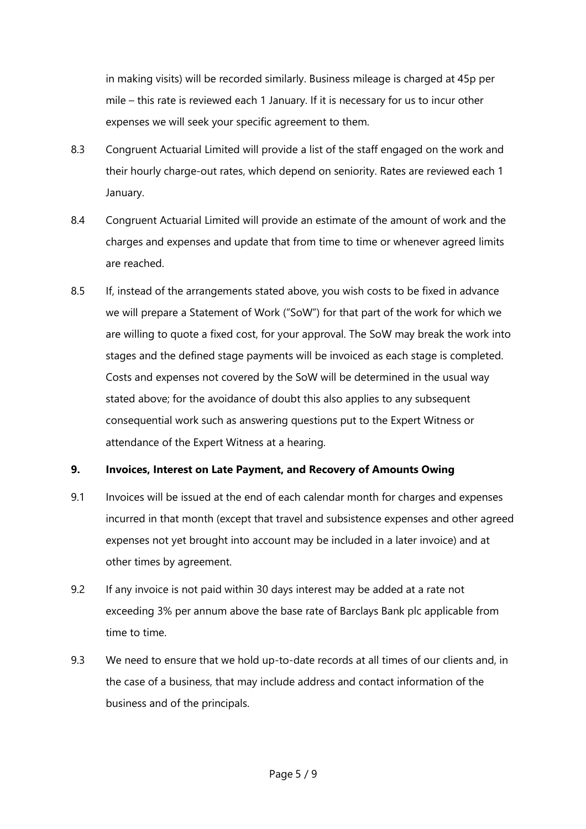in making visits) will be recorded similarly. Business mileage is charged at 45p per mile – this rate is reviewed each 1 January. If it is necessary for us to incur other expenses we will seek your specific agreement to them.

- 8.3 Congruent Actuarial Limited will provide a list of the staff engaged on the work and their hourly charge-out rates, which depend on seniority. Rates are reviewed each 1 January.
- 8.4 Congruent Actuarial Limited will provide an estimate of the amount of work and the charges and expenses and update that from time to time or whenever agreed limits are reached.
- 8.5 If, instead of the arrangements stated above, you wish costs to be fixed in advance we will prepare a Statement of Work ("SoW") for that part of the work for which we are willing to quote a fixed cost, for your approval. The SoW may break the work into stages and the defined stage payments will be invoiced as each stage is completed. Costs and expenses not covered by the SoW will be determined in the usual way stated above; for the avoidance of doubt this also applies to any subsequent consequential work such as answering questions put to the Expert Witness or attendance of the Expert Witness at a hearing.

# **9. Invoices, Interest on Late Payment, and Recovery of Amounts Owing**

- 9.1 Invoices will be issued at the end of each calendar month for charges and expenses incurred in that month (except that travel and subsistence expenses and other agreed expenses not yet brought into account may be included in a later invoice) and at other times by agreement.
- 9.2 If any invoice is not paid within 30 days interest may be added at a rate not exceeding 3% per annum above the base rate of Barclays Bank plc applicable from time to time.
- 9.3 We need to ensure that we hold up-to-date records at all times of our clients and, in the case of a business, that may include address and contact information of the business and of the principals.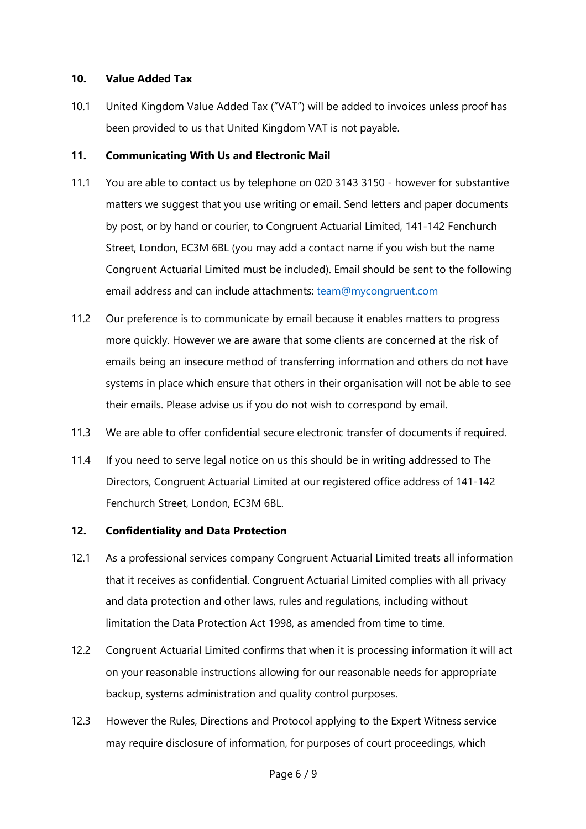## **10. Value Added Tax**

10.1 United Kingdom Value Added Tax ("VAT") will be added to invoices unless proof has been provided to us that United Kingdom VAT is not payable.

## **11. Communicating With Us and Electronic Mail**

- 11.1 You are able to contact us by telephone on 020 3143 3150 however for substantive matters we suggest that you use writing or email. Send letters and paper documents by post, or by hand or courier, to Congruent Actuarial Limited, 141-142 Fenchurch Street, London, EC3M 6BL (you may add a contact name if you wish but the name Congruent Actuarial Limited must be included). Email should be sent to the following email address and can include attachments: team@mycongruent.com
- 11.2 Our preference is to communicate by email because it enables matters to progress more quickly. However we are aware that some clients are concerned at the risk of emails being an insecure method of transferring information and others do not have systems in place which ensure that others in their organisation will not be able to see their emails. Please advise us if you do not wish to correspond by email.
- 11.3 We are able to offer confidential secure electronic transfer of documents if required.
- 11.4 If you need to serve legal notice on us this should be in writing addressed to The Directors, Congruent Actuarial Limited at our registered office address of 141-142 Fenchurch Street, London, EC3M 6BL.

# **12. Confidentiality and Data Protection**

- 12.1 As a professional services company Congruent Actuarial Limited treats all information that it receives as confidential. Congruent Actuarial Limited complies with all privacy and data protection and other laws, rules and regulations, including without limitation the Data Protection Act 1998, as amended from time to time.
- 12.2 Congruent Actuarial Limited confirms that when it is processing information it will act on your reasonable instructions allowing for our reasonable needs for appropriate backup, systems administration and quality control purposes.
- 12.3 However the Rules, Directions and Protocol applying to the Expert Witness service may require disclosure of information, for purposes of court proceedings, which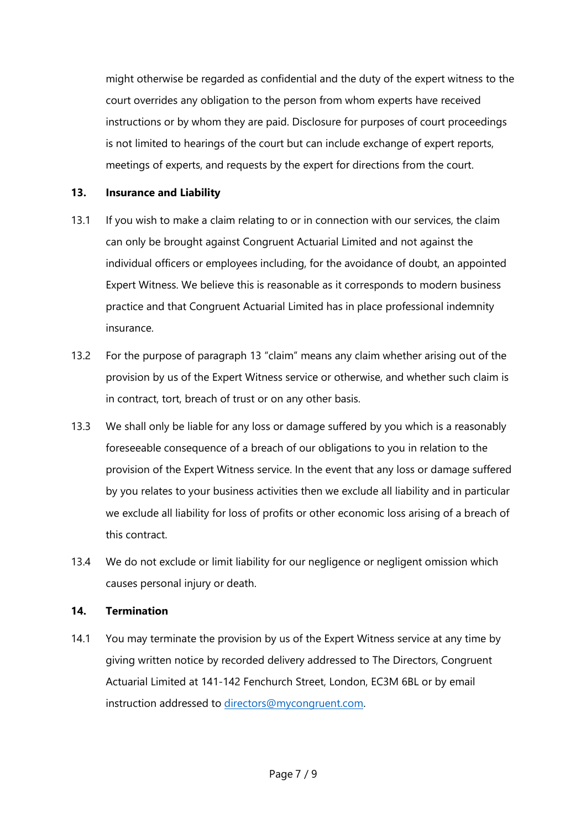might otherwise be regarded as confidential and the duty of the expert witness to the court overrides any obligation to the person from whom experts have received instructions or by whom they are paid. Disclosure for purposes of court proceedings is not limited to hearings of the court but can include exchange of expert reports, meetings of experts, and requests by the expert for directions from the court.

## **13. Insurance and Liability**

- 13.1 If you wish to make a claim relating to or in connection with our services, the claim can only be brought against Congruent Actuarial Limited and not against the individual officers or employees including, for the avoidance of doubt, an appointed Expert Witness. We believe this is reasonable as it corresponds to modern business practice and that Congruent Actuarial Limited has in place professional indemnity insurance.
- 13.2 For the purpose of paragraph 13 "claim" means any claim whether arising out of the provision by us of the Expert Witness service or otherwise, and whether such claim is in contract, tort, breach of trust or on any other basis.
- 13.3 We shall only be liable for any loss or damage suffered by you which is a reasonably foreseeable consequence of a breach of our obligations to you in relation to the provision of the Expert Witness service. In the event that any loss or damage suffered by you relates to your business activities then we exclude all liability and in particular we exclude all liability for loss of profits or other economic loss arising of a breach of this contract.
- 13.4 We do not exclude or limit liability for our negligence or negligent omission which causes personal injury or death.

### **14. Termination**

14.1 You may terminate the provision by us of the Expert Witness service at any time by giving written notice by recorded delivery addressed to The Directors, Congruent Actuarial Limited at 141-142 Fenchurch Street, London, EC3M 6BL or by email instruction addressed to directors@mycongruent.com.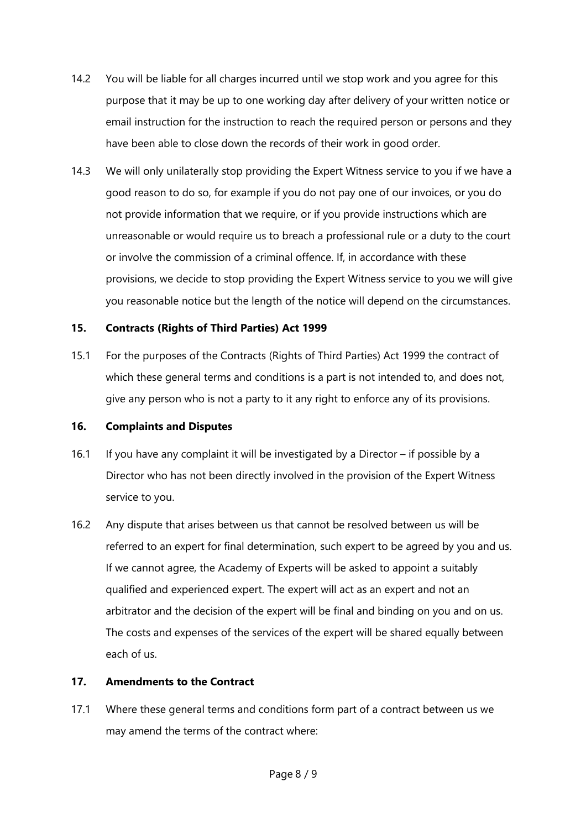- 14.2 You will be liable for all charges incurred until we stop work and you agree for this purpose that it may be up to one working day after delivery of your written notice or email instruction for the instruction to reach the required person or persons and they have been able to close down the records of their work in good order.
- 14.3 We will only unilaterally stop providing the Expert Witness service to you if we have a good reason to do so, for example if you do not pay one of our invoices, or you do not provide information that we require, or if you provide instructions which are unreasonable or would require us to breach a professional rule or a duty to the court or involve the commission of a criminal offence. If, in accordance with these provisions, we decide to stop providing the Expert Witness service to you we will give you reasonable notice but the length of the notice will depend on the circumstances.

## **15. Contracts (Rights of Third Parties) Act 1999**

15.1 For the purposes of the Contracts (Rights of Third Parties) Act 1999 the contract of which these general terms and conditions is a part is not intended to, and does not, give any person who is not a party to it any right to enforce any of its provisions.

### **16. Complaints and Disputes**

- 16.1 If you have any complaint it will be investigated by a Director if possible by a Director who has not been directly involved in the provision of the Expert Witness service to you.
- 16.2 Any dispute that arises between us that cannot be resolved between us will be referred to an expert for final determination, such expert to be agreed by you and us. If we cannot agree, the Academy of Experts will be asked to appoint a suitably qualified and experienced expert. The expert will act as an expert and not an arbitrator and the decision of the expert will be final and binding on you and on us. The costs and expenses of the services of the expert will be shared equally between each of us.

### **17. Amendments to the Contract**

17.1 Where these general terms and conditions form part of a contract between us we may amend the terms of the contract where: